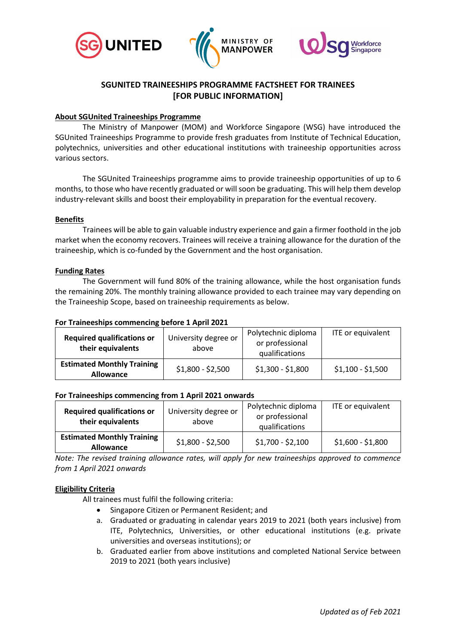





# **SGUNITED TRAINEESHIPS PROGRAMME FACTSHEET FOR TRAINEES [FOR PUBLIC INFORMATION]**

## **About SGUnited Traineeships Programme**

The Ministry of Manpower (MOM) and Workforce Singapore (WSG) have introduced the SGUnited Traineeships Programme to provide fresh graduates from Institute of Technical Education, polytechnics, universities and other educational institutions with traineeship opportunities across various sectors.

The SGUnited Traineeships programme aims to provide traineeship opportunities of up to 6 months, to those who have recently graduated or will soon be graduating. This will help them develop industry-relevant skills and boost their employability in preparation for the eventual recovery.

### **Benefits**

Trainees will be able to gain valuable industry experience and gain a firmer foothold in the job market when the economy recovers. Trainees will receive a training allowance for the duration of the traineeship, which is co-funded by the Government and the host organisation.

### **Funding Rates**

The Government will fund 80% of the training allowance, while the host organisation funds the remaining 20%. The monthly training allowance provided to each trainee may vary depending on the Traineeship Scope, based on traineeship requirements as below.

### **For Traineeships commencing before 1 April 2021**

| <b>Required qualifications or</b><br>their equivalents | University degree or<br>above | Polytechnic diploma<br>or professional<br>qualifications | ITE or equivalent |
|--------------------------------------------------------|-------------------------------|----------------------------------------------------------|-------------------|
| <b>Estimated Monthly Training</b><br><b>Allowance</b>  | $$1,800 - $2,500$             | $$1,300 - $1,800$                                        | $$1,100 - $1,500$ |

### **For Traineeships commencing from 1 April 2021 onwards**

| <b>Required qualifications or</b><br>their equivalents | University degree or<br>above | Polytechnic diploma<br>or professional<br>qualifications | ITE or equivalent |
|--------------------------------------------------------|-------------------------------|----------------------------------------------------------|-------------------|
| <b>Estimated Monthly Training</b><br><b>Allowance</b>  | $$1,800 - $2,500$             | $$1,700 - $2,100$                                        | $$1,600 - $1,800$ |

*Note: The revised training allowance rates, will apply for new traineeships approved to commence from 1 April 2021 onwards*

### **Eligibility Criteria**

All trainees must fulfil the following criteria:

- Singapore Citizen or Permanent Resident; and
- a. Graduated or graduating in calendar years 2019 to 2021 (both years inclusive) from ITE, Polytechnics, Universities, or other educational institutions (e.g. private universities and overseas institutions); or
- b. Graduated earlier from above institutions and completed National Service between 2019 to 2021 (both years inclusive)